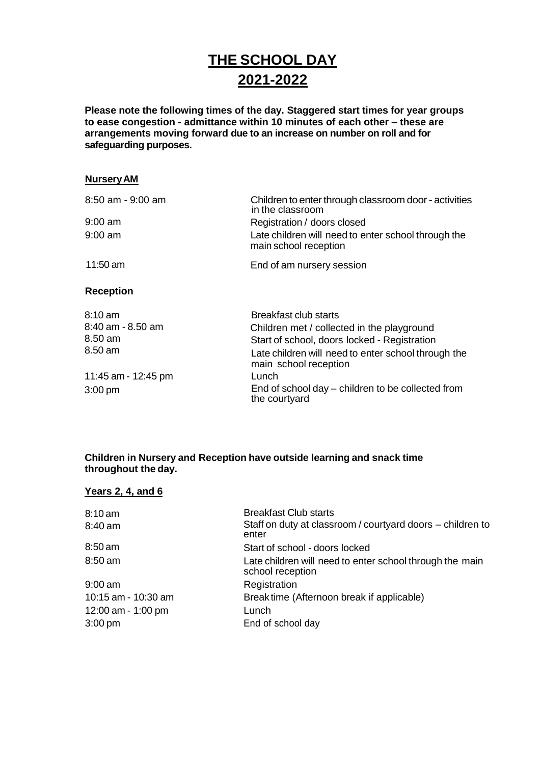# **THE SCHOOL DAY 2021-2022**

**Please note the following times of the day. Staggered start times for year groups to ease congestion - admittance within 10 minutes of each other – these are arrangements moving forward due to an increase on number on roll and for safeguarding purposes.**

#### **NurseryAM**

| 8:50 am - 9:00 am   | Children to enter through classroom door - activities<br>in the classroom    |
|---------------------|------------------------------------------------------------------------------|
| $9:00$ am           | Registration / doors closed                                                  |
| $9:00$ am           | Late children will need to enter school through the<br>main school reception |
| 11:50 am            | End of am nursery session                                                    |
| <b>Reception</b>    |                                                                              |
| $8:10 \text{ am}$   | <b>Breakfast club starts</b>                                                 |
| 8:40 am - 8.50 am   | Children met / collected in the playground                                   |
| 8.50 am             | Start of school, doors locked - Registration                                 |
| 8.50 am             | Late children will need to enter school through the<br>main school reception |
| 11:45 am - 12:45 pm | Lunch                                                                        |
| $3:00 \text{ pm}$   | End of school day – children to be collected from<br>the courtyard           |

### **Children in Nursery and Reception have outside learning and snack time throughout the day.**

### **Years 2, 4, and 6**

| 8:10 am             | <b>Breakfast Club starts</b>                                                 |
|---------------------|------------------------------------------------------------------------------|
| 8:40 am             | Staff on duty at classroom / courtyard doors – children to<br>enter          |
| 8:50 am             | Start of school - doors locked                                               |
| 8:50 am             | Late children will need to enter school through the main<br>school reception |
| 9:00 am             | Registration                                                                 |
| 10:15 am - 10:30 am | Breaktime (Afternoon break if applicable)                                    |
| 12:00 am - 1:00 pm  | Lunch                                                                        |
| $3:00 \text{ pm}$   | End of school day                                                            |
|                     |                                                                              |